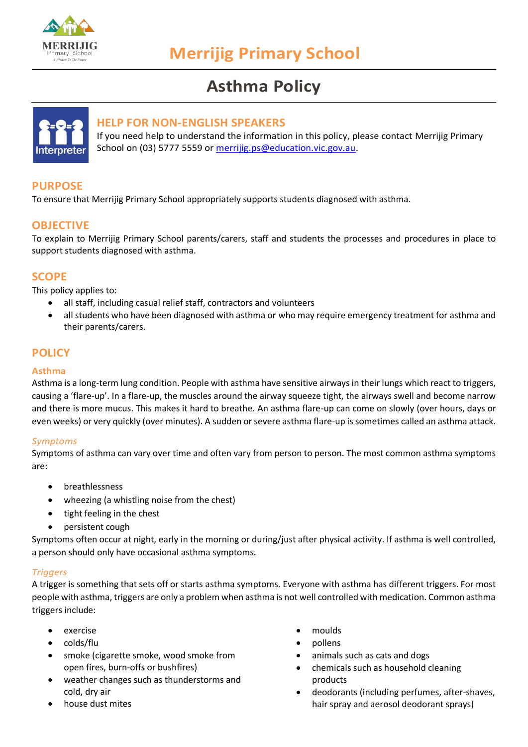

# **Asthma Policy**



## **HELP FOR NON-ENGLISH SPEAKERS**

If you need help to understand the information in this policy, please contact Merrijig Primary School on (03) 5777 5559 or [merrijig.ps@education.vic.gov.au.](mailto:merrijig.ps@education.vic.gov.au)

# **PURPOSE**

To ensure that Merrijig Primary School appropriately supports students diagnosed with asthma.

# **OBJECTIVE**

To explain to Merrijig Primary School parents/carers, staff and students the processes and procedures in place to support students diagnosed with asthma.

## **SCOPE**

This policy applies to:

- all staff, including casual relief staff, contractors and volunteers
- all students who have been diagnosed with asthma or who may require emergency treatment for asthma and their parents/carers.

# **POLICY**

#### **Asthma**

Asthma is a long-term lung condition. People with asthma have sensitive airways in their lungs which react to triggers, causing a 'flare-up'. In a flare-up, the muscles around the airway squeeze tight, the airways swell and become narrow and there is more mucus. This makes it hard to breathe. An asthma flare-up can come on slowly (over hours, days or even weeks) or very quickly (over minutes). A sudden or severe asthma flare-up is sometimes called an asthma attack.

#### *Symptoms*

Symptoms of asthma can vary over time and often vary from person to person. The most common asthma symptoms are:

- breathlessness
- wheezing (a whistling noise from the chest)
- tight feeling in the chest
- persistent cough

Symptoms often occur at night, early in the morning or during/just after physical activity. If asthma is well controlled, a person should only have occasional asthma symptoms.

#### *Triggers*

A trigger is something that sets off or starts asthma symptoms. Everyone with asthma has different triggers. For most people with asthma, triggers are only a problem when asthma is not well controlled with medication. Common asthma triggers include:

- exercise
- colds/flu
- smoke (cigarette smoke, wood smoke from open fires, burn-offs or bushfires)
- weather changes such as thunderstorms and cold, dry air
- house dust mites
- moulds
- pollens
- animals such as cats and dogs
- chemicals such as household cleaning products
- deodorants (including perfumes, after-shaves, hair spray and aerosol deodorant sprays)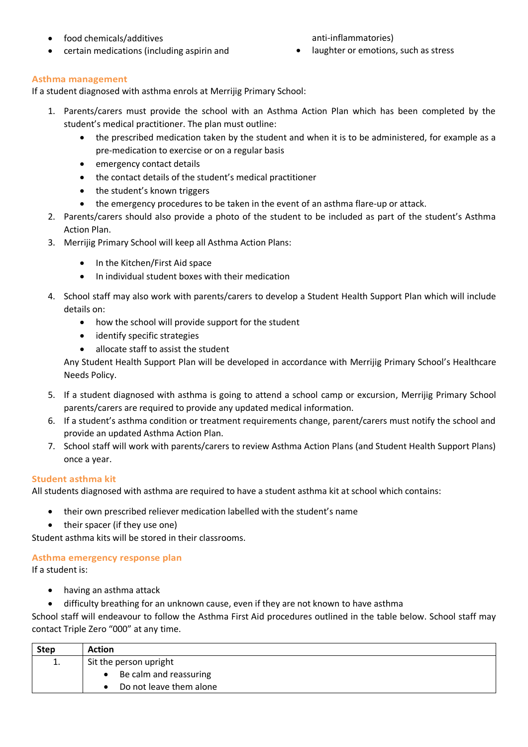• food chemicals/additives

anti-inflammatories)

- certain medications (including aspirin and
- laughter or emotions, such as stress

#### **Asthma management**

If a student diagnosed with asthma enrols at Merrijig Primary School:

- 1. Parents/carers must provide the school with an Asthma Action Plan which has been completed by the student's medical practitioner. The plan must outline:
	- the prescribed medication taken by the student and when it is to be administered, for example as a pre-medication to exercise or on a regular basis
	- emergency contact details
	- the contact details of the student's medical practitioner
	- the student's known triggers
	- the emergency procedures to be taken in the event of an asthma flare-up or attack.
- 2. Parents/carers should also provide a photo of the student to be included as part of the student's Asthma Action Plan.
- 3. Merrijig Primary School will keep all Asthma Action Plans:
	- In the Kitchen/First Aid space
	- In individual student boxes with their medication
- 4. School staff may also work with parents/carers to develop a Student Health Support Plan which will include details on:
	- how the school will provide support for the student
	- identify specific strategies
	- allocate staff to assist the student

Any Student Health Support Plan will be developed in accordance with Merrijig Primary School's Healthcare Needs Policy.

- 5. If a student diagnosed with asthma is going to attend a school camp or excursion, Merrijig Primary School parents/carers are required to provide any updated medical information.
- 6. If a student's asthma condition or treatment requirements change, parent/carers must notify the school and provide an updated Asthma Action Plan.
- 7. School staff will work with parents/carers to review Asthma Action Plans (and Student Health Support Plans) once a year.

#### **Student asthma kit**

All students diagnosed with asthma are required to have a student asthma kit at school which contains:

- their own prescribed reliever medication labelled with the student's name
- their spacer (if they use one)

Student asthma kits will be stored in their classrooms.

#### **Asthma emergency response plan**

If a student is:

- having an asthma attack
- difficulty breathing for an unknown cause, even if they are not known to have asthma

School staff will endeavour to follow the Asthma First Aid procedures outlined in the table below. School staff may contact Triple Zero "000" at any time.

| <b>Step</b> | <b>Action</b>           |  |  |
|-------------|-------------------------|--|--|
| ᆠ.          | Sit the person upright  |  |  |
|             | Be calm and reassuring  |  |  |
|             | Do not leave them alone |  |  |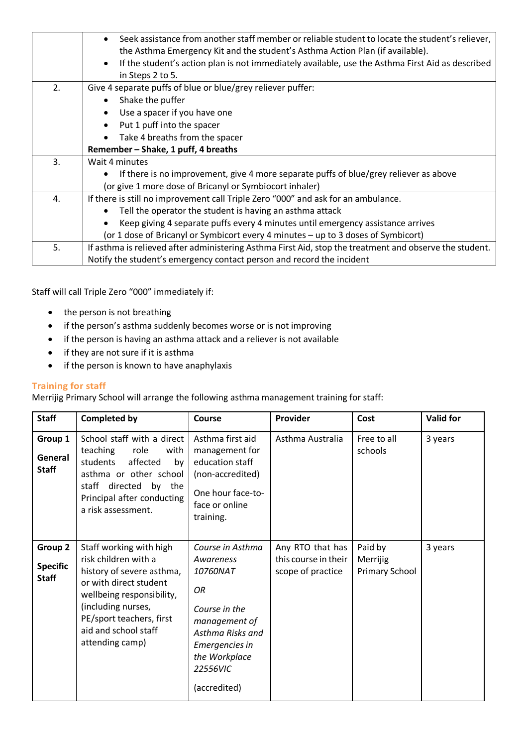|    | Seek assistance from another staff member or reliable student to locate the student's reliever,<br>the Asthma Emergency Kit and the student's Asthma Action Plan (if available). |  |  |  |
|----|----------------------------------------------------------------------------------------------------------------------------------------------------------------------------------|--|--|--|
|    | If the student's action plan is not immediately available, use the Asthma First Aid as described<br>$\bullet$                                                                    |  |  |  |
|    | in Steps 2 to 5.                                                                                                                                                                 |  |  |  |
| 2. | Give 4 separate puffs of blue or blue/grey reliever puffer:                                                                                                                      |  |  |  |
|    | Shake the puffer                                                                                                                                                                 |  |  |  |
|    | Use a spacer if you have one                                                                                                                                                     |  |  |  |
|    | Put 1 puff into the spacer                                                                                                                                                       |  |  |  |
|    | Take 4 breaths from the spacer                                                                                                                                                   |  |  |  |
|    | Remember - Shake, 1 puff, 4 breaths                                                                                                                                              |  |  |  |
| 3. | Wait 4 minutes                                                                                                                                                                   |  |  |  |
|    | If there is no improvement, give 4 more separate puffs of blue/grey reliever as above                                                                                            |  |  |  |
|    | (or give 1 more dose of Bricanyl or Symbiocort inhaler)                                                                                                                          |  |  |  |
| 4. | If there is still no improvement call Triple Zero "000" and ask for an ambulance.                                                                                                |  |  |  |
|    | Tell the operator the student is having an asthma attack                                                                                                                         |  |  |  |
|    | Keep giving 4 separate puffs every 4 minutes until emergency assistance arrives                                                                                                  |  |  |  |
|    | (or 1 dose of Bricanyl or Symbicort every 4 minutes - up to 3 doses of Symbicort)                                                                                                |  |  |  |
| 5. | If asthma is relieved after administering Asthma First Aid, stop the treatment and observe the student.                                                                          |  |  |  |
|    | Notify the student's emergency contact person and record the incident                                                                                                            |  |  |  |

Staff will call Triple Zero "000" immediately if:

- the person is not breathing
- if the person's asthma suddenly becomes worse or is not improving
- if the person is having an asthma attack and a reliever is not available
- if they are not sure if it is asthma
- if the person is known to have anaphylaxis

#### **Training for staff**

Merrijig Primary School will arrange the following asthma management training for staff:

| <b>Staff</b>                               | <b>Completed by</b>                                                                                                                                                                                                              | Course                                                                                                                                                                      | Provider                                                      | Cost                                         | <b>Valid for</b> |
|--------------------------------------------|----------------------------------------------------------------------------------------------------------------------------------------------------------------------------------------------------------------------------------|-----------------------------------------------------------------------------------------------------------------------------------------------------------------------------|---------------------------------------------------------------|----------------------------------------------|------------------|
| Group 1<br>General<br><b>Staff</b>         | School staff with a direct<br>teaching<br>role<br>with<br>students<br>affected<br>by<br>asthma or other school<br>directed<br>staff<br>by<br>the<br>Principal after conducting<br>a risk assessment.                             | Asthma first aid<br>management for<br>education staff<br>(non-accredited)<br>One hour face-to-<br>face or online<br>training.                                               | Asthma Australia                                              | Free to all<br>schools                       | 3 years          |
| Group 2<br><b>Specific</b><br><b>Staff</b> | Staff working with high<br>risk children with a<br>history of severe asthma,<br>or with direct student<br>wellbeing responsibility,<br>(including nurses,<br>PE/sport teachers, first<br>aid and school staff<br>attending camp) | Course in Asthma<br>Awareness<br>10760NAT<br><b>OR</b><br>Course in the<br>management of<br>Asthma Risks and<br>Emergencies in<br>the Workplace<br>22556VIC<br>(accredited) | Any RTO that has<br>this course in their<br>scope of practice | Paid by<br>Merrijig<br><b>Primary School</b> | 3 years          |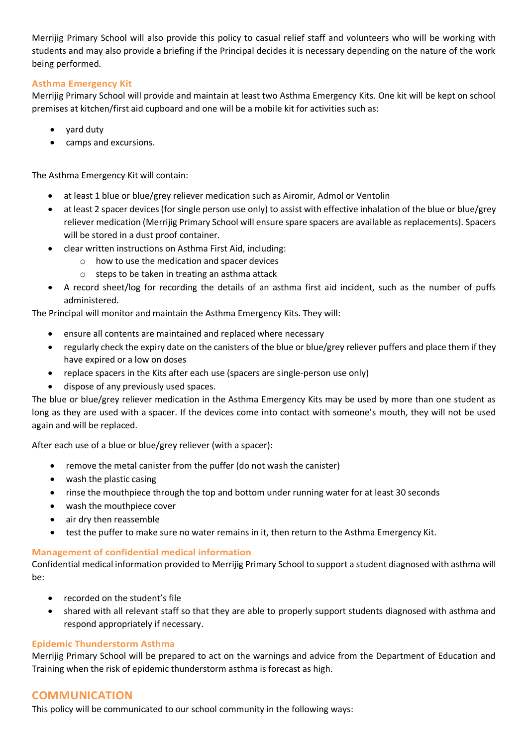Merrijig Primary School will also provide this policy to casual relief staff and volunteers who will be working with students and may also provide a briefing if the Principal decides it is necessary depending on the nature of the work being performed.

#### **Asthma Emergency Kit**

Merrijig Primary School will provide and maintain at least two Asthma Emergency Kits. One kit will be kept on school premises at kitchen/first aid cupboard and one will be a mobile kit for activities such as:

- yard duty
- camps and excursions.

The Asthma Emergency Kit will contain:

- at least 1 blue or blue/grey reliever medication such as Airomir, Admol or Ventolin
- at least 2 spacer devices (for single person use only) to assist with effective inhalation of the blue or blue/grey reliever medication (Merrijig Primary School will ensure spare spacers are available as replacements). Spacers will be stored in a dust proof container.
- clear written instructions on Asthma First Aid, including:
	- o how to use the medication and spacer devices
	- o steps to be taken in treating an asthma attack
- A record sheet/log for recording the details of an asthma first aid incident, such as the number of puffs administered.

The Principal will monitor and maintain the Asthma Emergency Kits. They will:

- ensure all contents are maintained and replaced where necessary
- regularly check the expiry date on the canisters of the blue or blue/grey reliever puffers and place them if they have expired or a low on doses
- replace spacers in the Kits after each use (spacers are single-person use only)
- dispose of any previously used spaces.

The blue or blue/grey reliever medication in the Asthma Emergency Kits may be used by more than one student as long as they are used with a spacer. If the devices come into contact with someone's mouth, they will not be used again and will be replaced.

After each use of a blue or blue/grey reliever (with a spacer):

- remove the metal canister from the puffer (do not wash the canister)
- wash the plastic casing
- rinse the mouthpiece through the top and bottom under running water for at least 30 seconds
- wash the mouthpiece cover
- air dry then reassemble
- test the puffer to make sure no water remains in it, then return to the Asthma Emergency Kit.

#### **Management of confidential medical information**

Confidential medical information provided to Merrijig Primary School to support a student diagnosed with asthma will be:

- recorded on the student's file
- shared with all relevant staff so that they are able to properly support students diagnosed with asthma and respond appropriately if necessary.

#### **Epidemic Thunderstorm Asthma**

Merrijig Primary School will be prepared to act on the warnings and advice from the Department of Education and Training when the risk of epidemic thunderstorm asthma is forecast as high.

#### **COMMUNICATION**

This policy will be communicated to our school community in the following ways: